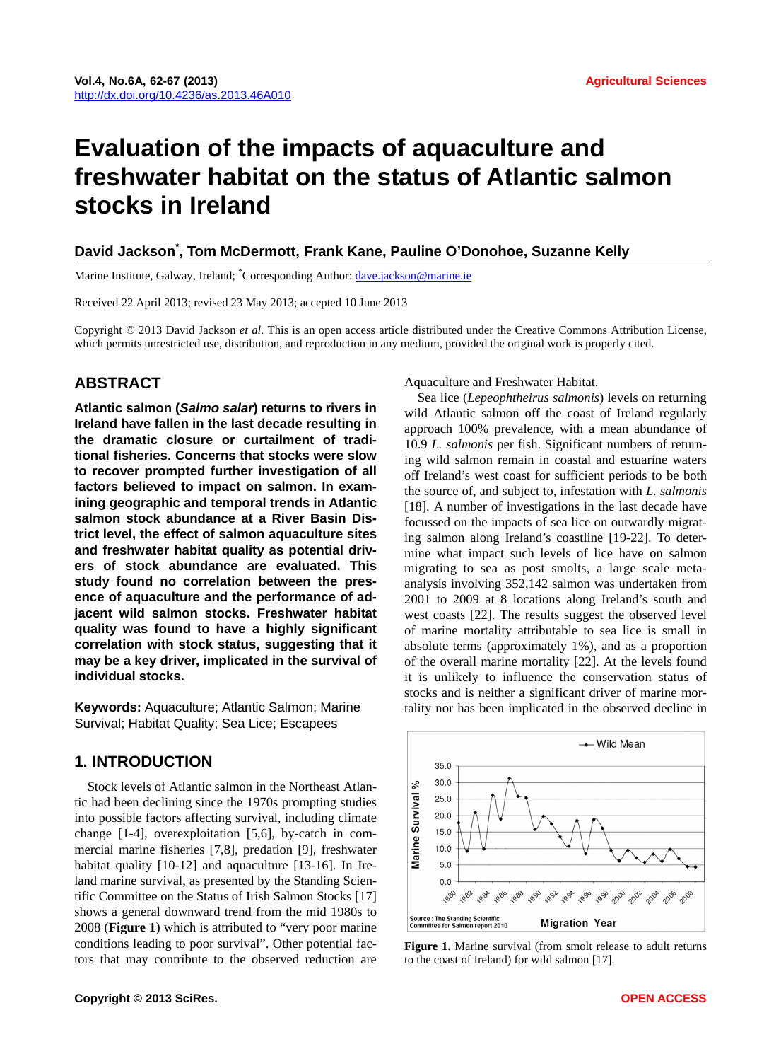# **Evaluation of the impacts of aquaculture and freshwater habitat on the status of Atlantic salmon stocks in Ireland**

# **David Jackson\* , Tom McDermott, Frank Kane, Pauline O'Donohoe, Suzanne Kelly**

Marine Institute, Galway, Ireland; \*Corresponding Author: *[dave.jackson@marine.ie](mailto:dave.jackson@marine.ie)* 

Received 22 April 2013; revised 23 May 2013; accepted 10 June 2013

Copyright © 2013 David Jackson *et al*. This is an open access article distributed under the Creative Commons Attribution License, which permits unrestricted use, distribution, and reproduction in any medium, provided the original work is properly cited.

# **ABSTRACT**

**Atlantic salmon (***Salmo salar***) returns to rivers in Ireland have fallen in the last decade resulting in the dramatic closure or curtailment of traditional fisheries. Concerns that stocks were slow to recover prompted further investigation of all factors believed to impact on salmon. In examining geographic and temporal trends in Atlantic salmon stock abundance at a River Basin District level, the effect of salmon aquaculture sites and freshwater habitat quality as potential drivers of stock abundance are evaluated. This study found no correlation between the presence of aquaculture and the performance of adjacent wild salmon stocks. Freshwater habitat quality was found to have a highly significant correlation with stock status, suggesting that it may be a key driver, implicated in the survival of individual stocks.** 

**Keywords:** Aquaculture; Atlantic Salmon; Marine Survival; Habitat Quality; Sea Lice; Escapees

## **1. INTRODUCTION**

Stock levels of Atlantic salmon in the Northeast Atlantic had been declining since the 1970s prompting studies into possible factors affecting survival, including climate change [1-4], overexploitation [5,6], by-catch in commercial marine fisheries [7,8], predation [9], freshwater habitat quality [10-12] and aquaculture [13-16]. In Ireland marine survival, as presented by the Standing Scientific Committee on the Status of Irish Salmon Stocks [17] shows a general downward trend from the mid 1980s to 2008 (**Figure 1**) which is attributed to "very poor marine conditions leading to poor survival". Other potential factors that may contribute to the observed reduction are

#### Aquaculture and Freshwater Habitat.

Sea lice (*Lepeophtheirus salmonis*) levels on returning wild Atlantic salmon off the coast of Ireland regularly approach 100% prevalence, with a mean abundance of 10.9 *L. salmonis* per fish. Significant numbers of returning wild salmon remain in coastal and estuarine waters off Ireland's west coast for sufficient periods to be both the source of, and subject to, infestation with *L. salmonis*  [18]. A number of investigations in the last decade have focussed on the impacts of sea lice on outwardly migrating salmon along Ireland's coastline [19-22]. To determine what impact such levels of lice have on salmon migrating to sea as post smolts, a large scale metaanalysis involving 352,142 salmon was undertaken from 2001 to 2009 at 8 locations along Ireland's south and west coasts [22]. The results suggest the observed level of marine mortality attributable to sea lice is small in absolute terms (approximately 1%), and as a proportion of the overall marine mortality [22]. At the levels found it is unlikely to influence the conservation status of stocks and is neither a significant driver of marine mortality nor has been implicated in the observed decline in



**Figure 1.** Marine survival (from smolt release to adult returns to the coast of Ireland) for wild salmon [17].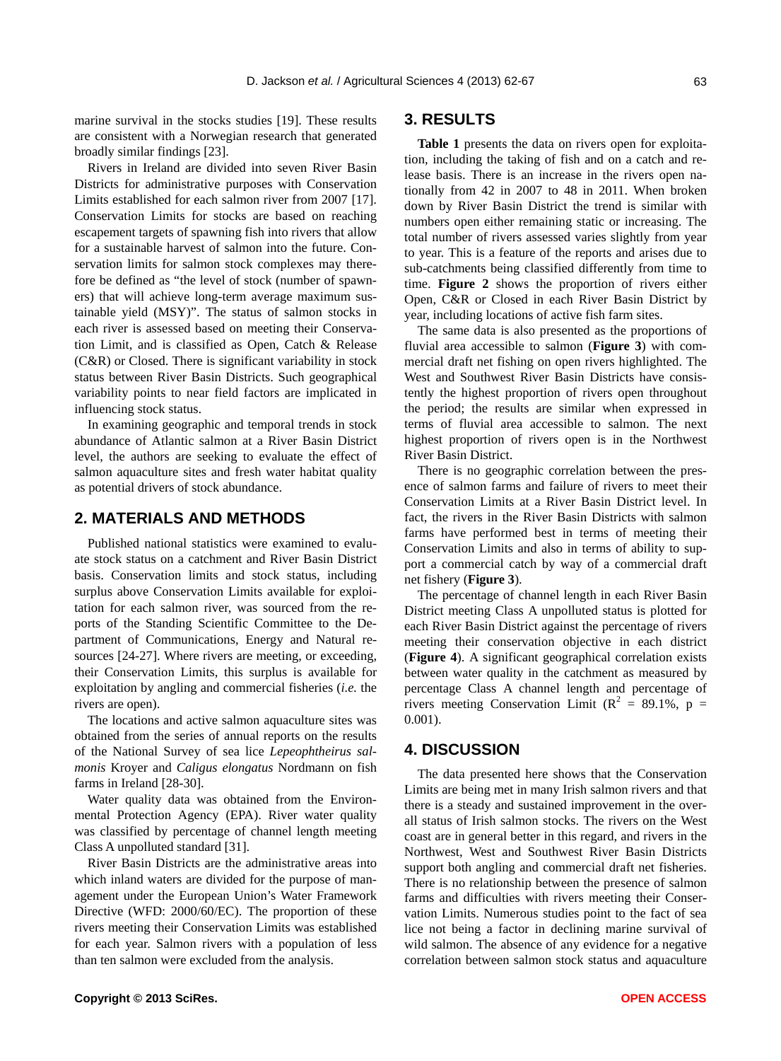marine survival in the stocks studies [19]. These results are consistent with a Norwegian research that generated broadly similar findings [23].

Rivers in Ireland are divided into seven River Basin Districts for administrative purposes with Conservation Limits established for each salmon river from 2007 [17]. Conservation Limits for stocks are based on reaching escapement targets of spawning fish into rivers that allow for a sustainable harvest of salmon into the future. Conservation limits for salmon stock complexes may therefore be defined as "the level of stock (number of spawners) that will achieve long-term average maximum sustainable yield (MSY)". The status of salmon stocks in each river is assessed based on meeting their Conservation Limit, and is classified as Open, Catch & Release (C&R) or Closed. There is significant variability in stock status between River Basin Districts. Such geographical variability points to near field factors are implicated in influencing stock status.

In examining geographic and temporal trends in stock abundance of Atlantic salmon at a River Basin District level, the authors are seeking to evaluate the effect of salmon aquaculture sites and fresh water habitat quality as potential drivers of stock abundance.

# **2. MATERIALS AND METHODS**

Published national statistics were examined to evaluate stock status on a catchment and River Basin District basis. Conservation limits and stock status, including surplus above Conservation Limits available for exploitation for each salmon river, was sourced from the reports of the Standing Scientific Committee to the Department of Communications, Energy and Natural resources [24-27]. Where rivers are meeting, or exceeding, their Conservation Limits, this surplus is available for exploitation by angling and commercial fisheries (*i.e.* the rivers are open).

The locations and active salmon aquaculture sites was obtained from the series of annual reports on the results of the National Survey of sea lice *Lepeophtheirus salmonis* Kroyer and *Caligus elongatus* Nordmann on fish farms in Ireland [28-30].

Water quality data was obtained from the Environmental Protection Agency (EPA). River water quality was classified by percentage of channel length meeting Class A unpolluted standard [31].

River Basin Districts are the administrative areas into which inland waters are divided for the purpose of management under the European Union's Water Framework Directive (WFD: 2000/60/EC). The proportion of these rivers meeting their Conservation Limits was established for each year. Salmon rivers with a population of less than ten salmon were excluded from the analysis.

# **3. RESULTS**

**Table 1** presents the data on rivers open for exploitation, including the taking of fish and on a catch and release basis. There is an increase in the rivers open nationally from 42 in 2007 to 48 in 2011. When broken down by River Basin District the trend is similar with numbers open either remaining static or increasing. The total number of rivers assessed varies slightly from year to year. This is a feature of the reports and arises due to sub-catchments being classified differently from time to time. **Figure 2** shows the proportion of rivers either Open, C&R or Closed in each River Basin District by year, including locations of active fish farm sites.

The same data is also presented as the proportions of fluvial area accessible to salmon (**Figure 3**) with commercial draft net fishing on open rivers highlighted. The West and Southwest River Basin Districts have consistently the highest proportion of rivers open throughout the period; the results are similar when expressed in terms of fluvial area accessible to salmon. The next highest proportion of rivers open is in the Northwest River Basin District.

There is no geographic correlation between the presence of salmon farms and failure of rivers to meet their Conservation Limits at a River Basin District level. In fact, the rivers in the River Basin Districts with salmon farms have performed best in terms of meeting their Conservation Limits and also in terms of ability to support a commercial catch by way of a commercial draft net fishery (**Figure 3**).

The percentage of channel length in each River Basin District meeting Class A unpolluted status is plotted for each River Basin District against the percentage of rivers meeting their conservation objective in each district (**Figure 4**). A significant geographical correlation exists between water quality in the catchment as measured by percentage Class A channel length and percentage of rivers meeting Conservation Limit ( $R^2 = 89.1\%$ , p = 0.001).

## **4. DISCUSSION**

The data presented here shows that the Conservation Limits are being met in many Irish salmon rivers and that there is a steady and sustained improvement in the overall status of Irish salmon stocks. The rivers on the West coast are in general better in this regard, and rivers in the Northwest, West and Southwest River Basin Districts support both angling and commercial draft net fisheries. There is no relationship between the presence of salmon farms and difficulties with rivers meeting their Conservation Limits. Numerous studies point to the fact of sea lice not being a factor in declining marine survival of wild salmon. The absence of any evidence for a negative correlation between salmon stock status and aquaculture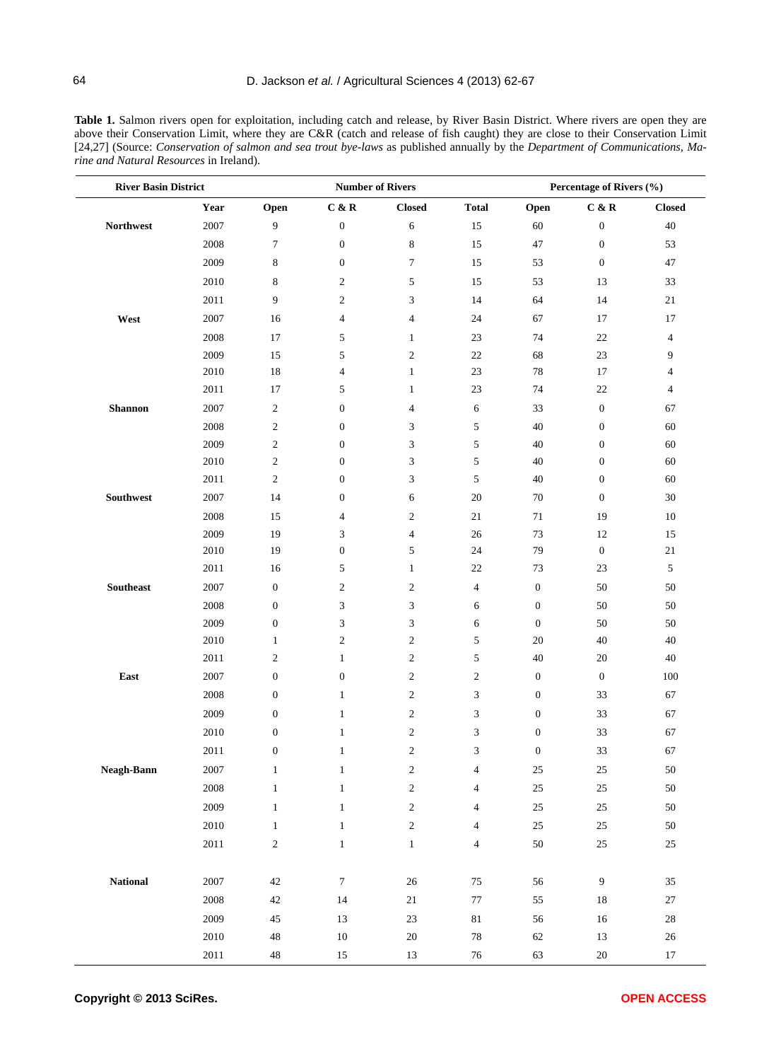| <b>Table 1.</b> Salmon rivers open for exploitation, including catch and release, by River Basin District. Where rivers are open they are |
|-------------------------------------------------------------------------------------------------------------------------------------------|
| above their Conservation Limit, where they are C&R (catch and release of fish caught) they are close to their Conservation Limit          |
| [24,27] (Source: Conservation of salmon and sea trout bye-laws as published annually by the Department of Communications, Ma-             |
| <i>rine and Natural Resources</i> in Ireland).                                                                                            |

| <b>River Basin District</b> |          | <b>Number of Rivers</b> |                  |                             |                         | Percentage of Rivers (%) |                  |                |
|-----------------------------|----------|-------------------------|------------------|-----------------------------|-------------------------|--------------------------|------------------|----------------|
|                             | Year     | Open                    | C & R            | <b>Closed</b>               | <b>Total</b>            | Open                     | C & R            | <b>Closed</b>  |
| <b>Northwest</b>            | 2007     | 9                       | $\boldsymbol{0}$ | $\epsilon$                  | 15                      | $60\,$                   | $\boldsymbol{0}$ | $40\,$         |
|                             | 2008     | 7                       | $\boldsymbol{0}$ | $\,8\,$                     | 15                      | $47\,$                   | $\boldsymbol{0}$ | 53             |
|                             | 2009     | $\,$ 8 $\,$             | $\boldsymbol{0}$ | $\boldsymbol{7}$            | 15                      | 53                       | $\boldsymbol{0}$ | 47             |
|                             | 2010     | 8                       | $\overline{c}$   | 5                           | 15                      | 53                       | 13               | 33             |
|                             | 2011     | 9                       | $\overline{c}$   | $\mathfrak{Z}$              | 14                      | 64                       | 14               | $21\,$         |
| West                        | 2007     | 16                      | $\overline{4}$   | $\overline{4}$              | 24                      | 67                       | 17               | 17             |
|                             | 2008     | 17                      | 5                | $\mathbf{1}$                | $23\,$                  | 74                       | $22\,$           | $\overline{4}$ |
|                             | 2009     | 15                      | 5                | $\sqrt{2}$                  | $22\,$                  | 68                       | 23               | 9              |
|                             | 2010     | 18                      | $\overline{4}$   | $\mathbf{1}$                | $23\,$                  | 78                       | 17               | $\overline{4}$ |
|                             | 2011     | 17                      | 5                | $\mathbf{1}$                | 23                      | 74                       | 22               | $\overline{4}$ |
| Shannon                     | 2007     | $\overline{c}$          | $\boldsymbol{0}$ | $\overline{4}$              | 6                       | 33                       | $\boldsymbol{0}$ | 67             |
|                             | 2008     | $\sqrt{2}$              | $\boldsymbol{0}$ | 3                           | 5                       | 40                       | $\boldsymbol{0}$ | 60             |
|                             | 2009     | $\boldsymbol{2}$        | $\boldsymbol{0}$ | $\mathfrak{Z}$              | $\sqrt{5}$              | 40                       | $\boldsymbol{0}$ | 60             |
|                             | 2010     | $\sqrt{2}$              | $\boldsymbol{0}$ | $\mathfrak{Z}$              | 5                       | 40                       | $\boldsymbol{0}$ | 60             |
|                             | 2011     | $\sqrt{2}$              | $\boldsymbol{0}$ | 3                           | 5                       | $40\,$                   | $\boldsymbol{0}$ | 60             |
| Southwest                   | 2007     | 14                      | $\boldsymbol{0}$ | 6                           | $20\,$                  | 70                       | $\boldsymbol{0}$ | $30\,$         |
|                             | 2008     | 15                      | $\overline{4}$   | $\boldsymbol{2}$            | $21\,$                  | 71                       | 19               | $10\,$         |
|                             | 2009     | 19                      | 3                | $\overline{4}$              | $26\,$                  | 73                       | 12               | $15\,$         |
|                             | 2010     | 19                      | $\boldsymbol{0}$ | 5                           | 24                      | 79                       | $\boldsymbol{0}$ | $21\,$         |
|                             | 2011     | 16                      | 5                | $\mathbf{1}$                | $22\,$                  | 73                       | 23               | $\sqrt{5}$     |
| Southeast                   | 2007     | $\boldsymbol{0}$        | $\sqrt{2}$       | $\boldsymbol{2}$            | $\overline{4}$          | $\boldsymbol{0}$         | $50\,$           | $50\,$         |
|                             | 2008     | $\boldsymbol{0}$        | 3                | $\mathfrak{Z}$              | 6                       | $\boldsymbol{0}$         | $50\,$           | $50\,$         |
|                             | 2009     | $\boldsymbol{0}$        | 3                | $\ensuremath{\mathfrak{Z}}$ | $\sqrt{6}$              | $\boldsymbol{0}$         | 50               | $50\,$         |
|                             | 2010     | $\mathbf{1}$            | $\sqrt{2}$       | $\sqrt{2}$                  | 5                       | $20\,$                   | $40\,$           | $40\,$         |
|                             | 2011     | $\overline{c}$          | $\mathbf{1}$     | $\sqrt{2}$                  | 5                       | 40                       | 20               | 40             |
| East                        | 2007     | $\boldsymbol{0}$        | $\boldsymbol{0}$ | $\sqrt{2}$                  | $\sqrt{2}$              | $\boldsymbol{0}$         | $\boldsymbol{0}$ | $100\,$        |
|                             | 2008     | $\boldsymbol{0}$        | $\mathbf{1}$     | $\sqrt{2}$                  | $\mathfrak{Z}$          | $\boldsymbol{0}$         | 33               | 67             |
|                             | 2009     | $\boldsymbol{0}$        | $\mathbf{1}$     | $\sqrt{2}$                  | $\mathfrak z$           | $\boldsymbol{0}$         | 33               | 67             |
|                             | 2010     | $\boldsymbol{0}$        | $\mathbf{1}$     | $\overline{c}$              | 3                       | $\boldsymbol{0}$         | 33               | 67             |
|                             | 2011     | $\boldsymbol{0}$        | $\mathbf{1}$     | $\sqrt{2}$                  | $\mathfrak{Z}$          | $\boldsymbol{0}$         | 33               | 67             |
| Neagh-Bann                  | 2007     | $\mathbf{1}$            | $\mathbf{I}$     | $\overline{\mathbf{c}}$     | 4                       | 25                       | <b>25</b>        | $50\,$         |
|                             | 2008     | $\,1$                   | $\mathbf{1}$     | $\sqrt{2}$                  | $\overline{4}$          | $25\,$                   | $25\,$           | $50\,$         |
|                             | 2009     | $1\,$                   | $\mathbf{1}$     | $\sqrt{2}$                  | $\overline{\mathbf{4}}$ | 25                       | 25               | 50             |
|                             | 2010     | $\mathbf{1}$            | $\,1$            | $\sqrt{2}$                  | $\overline{4}$          | $25\,$                   | $25\,$           | $50\,$         |
|                             | 2011     | $\sqrt{2}$              | $\,1$            | $\,1$                       | $\overline{4}$          | $50\,$                   | $25\,$           | $25\,$         |
|                             |          |                         |                  |                             |                         |                          |                  |                |
| <b>National</b>             | 2007     | $42\,$                  | $\boldsymbol{7}$ | $26\,$                      | $75\,$                  | 56                       | 9                | $35\,$         |
|                             | 2008     | $42\,$                  | 14               | $21\,$                      | $77\,$                  | 55                       | $18\,$           | $27\,$         |
|                             | 2009     | $45\,$                  | $13\,$           | $23\,$                      | $81\,$                  | 56                       | $16\,$           | $28\,$         |
|                             | 2010     | $\sqrt{48}$             | $10\,$           | $20\,$                      | $78\,$                  | 62                       | $13\,$           | $26\,$         |
|                             | $2011\,$ | $\sqrt{48}$             | $15\,$           | 13                          | $76\,$                  | 63                       | $20\,$           | $17\,$         |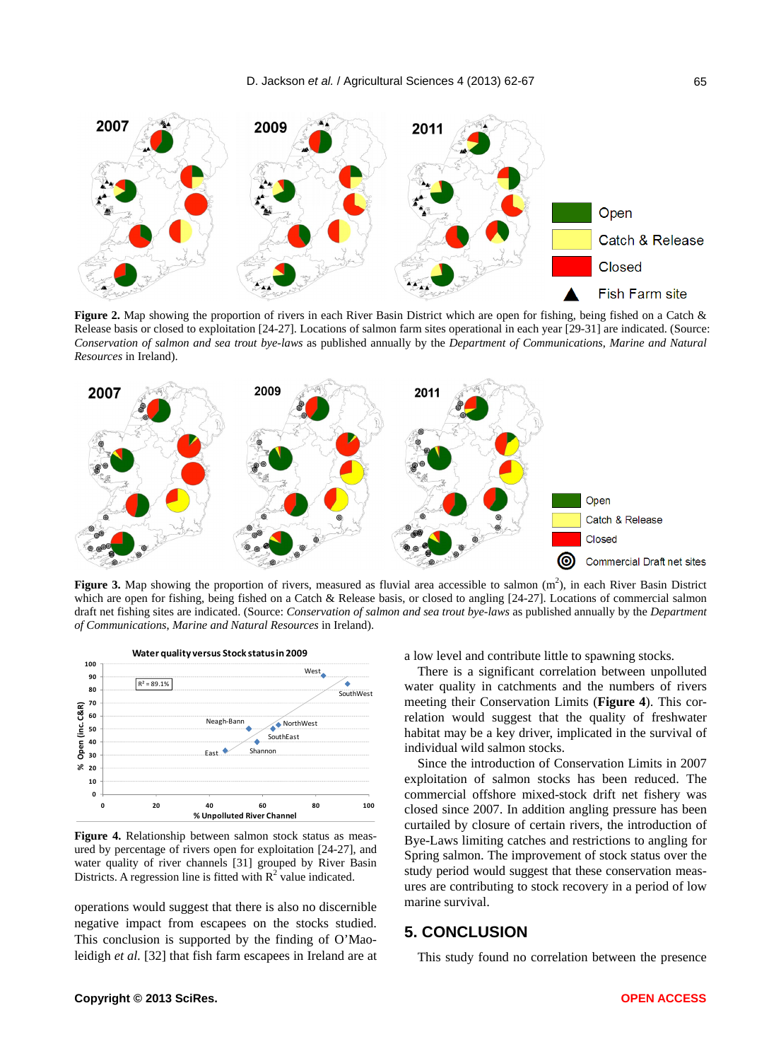

Catch & Release Closed **Fish Farm site** 

**Figure 2.** Map showing the proportion of rivers in each River Basin District which are open for fishing, being fished on a Catch & Release basis or closed to exploitation [24-27]. Locations of salmon farm sites operational in each year [29-31] are indicated. (Source: *Conservation of salmon and sea trout bye-laws* as published annually by the *Department of Communications*, *Marine and Natural Resources* in Ireland).



Figure 3. Map showing the proportion of rivers, measured as fluvial area accessible to salmon (m<sup>2</sup>), in each River Basin District which are open for fishing, being fished on a Catch & Release basis, or closed to angling [24-27]. Locations of commercial salmon draft net fishing sites are indicated. (Source: *Conservation of salmon and sea trout bye-laws* as published annually by the *Department of Communications*, *Marine and Natural Resources* in Ireland).



**Figure 4.** Relationship between salmon stock status as measured by percentage of rivers open for exploitation [24-27], and water quality of river channels [31] grouped by River Basin Districts. A regression line is fitted with  $R^2$  value indicated.

operations would suggest that there is also no discernible negative impact from escapees on the stocks studied. This conclusion is supported by the finding of O'Maoleidigh *et al.* [32] that fish farm escapees in Ireland are at a low level and contribute little to spawning stocks.

There is a significant correlation between unpolluted water quality in catchments and the numbers of rivers meeting their Conservation Limits (**Figure 4**). This correlation would suggest that the quality of freshwater habitat may be a key driver, implicated in the survival of individual wild salmon stocks.

Since the introduction of Conservation Limits in 2007 exploitation of salmon stocks has been reduced. The commercial offshore mixed-stock drift net fishery was closed since 2007. In addition angling pressure has been curtailed by closure of certain rivers, the introduction of Bye-Laws limiting catches and restrictions to angling for Spring salmon. The improvement of stock status over the study period would suggest that these conservation measures are contributing to stock recovery in a period of low marine survival.

#### **5. CONCLUSION**

This study found no correlation between the presence

2007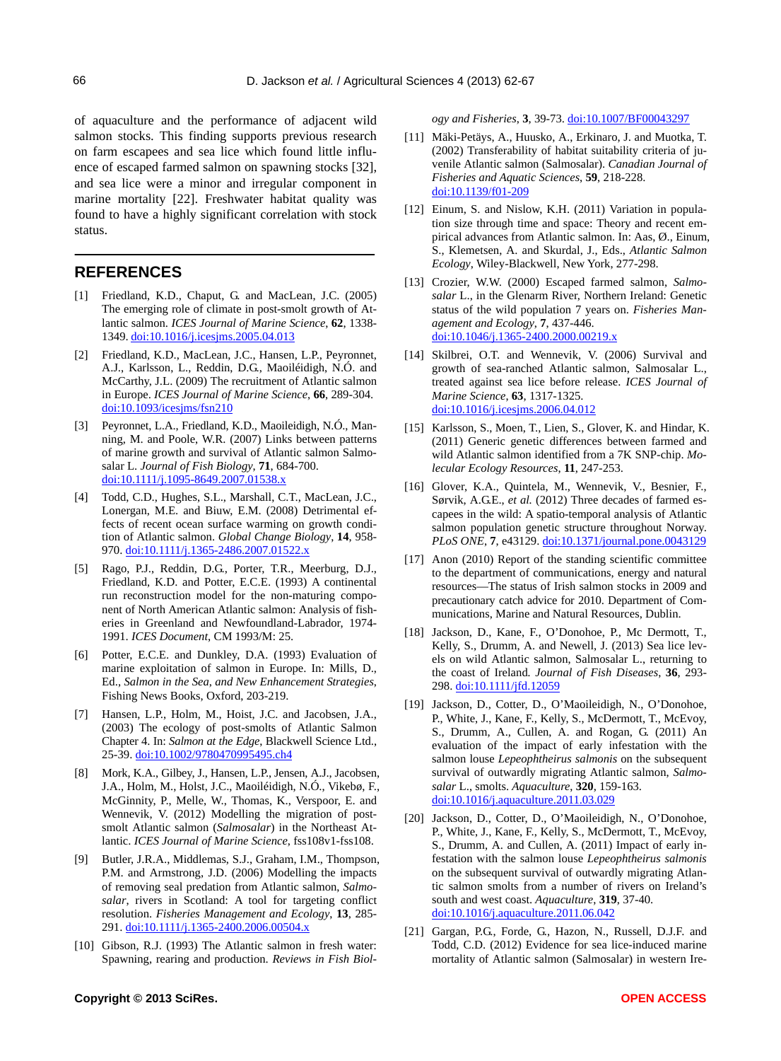of aquaculture and the performance of adjacent wild salmon stocks. This finding supports previous research on farm escapees and sea lice which found little influence of escaped farmed salmon on spawning stocks [32], and sea lice were a minor and irregular component in marine mortality [22]. Freshwater habitat quality was found to have a highly significant correlation with stock status.

#### **REFERENCES**

- [1] Friedland, K.D., Chaput, G. and MacLean, J.C. (2005) The emerging role of climate in post-smolt growth of Atlantic salmon. *ICES Journal of Marine Science*, **62**, 1338- 1349. [doi:10.1016/j.icesjms.2005.04.013](http://dx.doi.org/10.1016/j.icesjms.2005.04.013)
- [2] Friedland, K.D., MacLean, J.C., Hansen, L.P., Peyronnet, A.J., Karlsson, L., Reddin, D.G., Maoiléidigh, N.Ó. and McCarthy, J.L. (2009) The recruitment of Atlantic salmon in Europe. *ICES Journal of Marine Science*, **66**, 289-304. [doi:10.1093/icesjms/fsn210](http://dx.doi.org/10.1093/icesjms/fsn210)
- [3] Peyronnet, L.A., Friedland, K.D., Maoileidigh, N.Ó., Manning, M. and Poole, W.R. (2007) Links between patterns of marine growth and survival of Atlantic salmon Salmosalar L. *Journal of Fish Biology*, **71**, 684-700. [doi:10.1111/j.1095-8649.2007.01538.x](http://dx.doi.org/10.1111/j.1095-8649.2007.01538.x)
- [4] Todd, C.D., Hughes, S.L., Marshall, C.T., MacLean, J.C., Lonergan, M.E. and Biuw, E.M. (2008) Detrimental effects of recent ocean surface warming on growth condition of Atlantic salmon. *Global Change Biology*, **14**, 958 970. [doi:10.1111/j.1365-2486.2007.01522.x](http://dx.doi.org/10.1111/j.1365-2486.2007.01522.x)
- [5] Rago, P.J., Reddin, D.G., Porter, T.R., Meerburg, D.J., Friedland, K.D. and Potter, E.C.E. (1993) A continental run reconstruction model for the non-maturing component of North American Atlantic salmon: Analysis of fisheries in Greenland and Newfoundland-Labrador, 1974- 1991. *ICES Document*, CM 1993/M: 25.
- [6] Potter, E.C.E. and Dunkley, D.A. (1993) Evaluation of marine exploitation of salmon in Europe. In: Mills, D., Ed., *Salmon in the Sea*, *and New Enhancement Strategies*, Fishing News Books, Oxford, 203-219.
- [7] Hansen, L.P., Holm, M., Hoist, J.C. and Jacobsen, J.A., (2003) The ecology of post-smolts of Atlantic Salmon Chapter 4. In: *Salmon at the Edge*, Blackwell Science Ltd., 25-39. [doi:10.1002/9780470995495.ch4](http://dx.doi.org/10.1002/9780470995495.ch4)
- [8] Mork, K.A., Gilbey, J., Hansen, L.P., Jensen, A.J., Jacobsen, J.A., Holm, M., Holst, J.C., Maoiléidigh, N.Ó., Vikebø, F., McGinnity, P., Melle, W., Thomas, K., Verspoor, E. and Wennevik, V. (2012) Modelling the migration of postsmolt Atlantic salmon (*Salmosalar*) in the Northeast Atlantic. *ICES Journal of Marine Science*, fss108v1-fss108.
- [9] Butler, J.R.A., Middlemas, S.J., Graham, I.M., Thompson, P.M. and Armstrong, J.D. (2006) Modelling the impacts of removing seal predation from Atlantic salmon, *Salmosalar*, rivers in Scotland: A tool for targeting conflict resolution. *Fisheries Management and Ecology*, **13**, 285 291. [doi:10.1111/j.1365-2400.2006.00504.x](http://dx.doi.org/10.1111/j.1365-2400.2006.00504.x)
- [10] Gibson, R.J. (1993) The Atlantic salmon in fresh water: Spawning, rearing and production. *Reviews in Fish Biol-*

*ogy and Fisheries*, **3**, 39-73. [doi:10.1007/BF00043297](http://dx.doi.org/10.1007/BF00043297)

- [11] Mäki-Petäys, A., Huusko, A., Erkinaro, J. and Muotka, T. (2002) Transferability of habitat suitability criteria of juvenile Atlantic salmon (Salmosalar). *Canadian Journal of Fisheries and Aquatic Sciences*, **59**, 218-228. [doi:10.1139/f01-209](http://dx.doi.org/10.1139/f01-209)
- [12] Einum, S. and Nislow, K.H. (2011) Variation in population size through time and space: Theory and recent empirical advances from Atlantic salmon. In: Aas, Ø., Einum, S., Klemetsen, A. and Skurdal, J., Eds., *Atlantic Salmon Ecology*, Wiley-Blackwell, New York, 277-298.
- [13] Crozier, W.W. (2000) Escaped farmed salmon, *Salmosalar* L., in the Glenarm River, Northern Ireland: Genetic status of the wild population 7 years on. *Fisheries Management and Ecology*, **7**, 437-446. [doi:10.1046/j.1365-2400.2000.00219.x](http://dx.doi.org/10.1046/j.1365-2400.2000.00219.x)
- [14] Skilbrei, O.T. and Wennevik, V. (2006) Survival and growth of sea-ranched Atlantic salmon, Salmosalar L., treated against sea lice before release. *ICES Journal of Marine Science*, **63**, 1317-1325. [doi:10.1016/j.icesjms.2006.04.012](http://dx.doi.org/10.1016/j.icesjms.2006.04.012)
- [15] Karlsson, S., Moen, T., Lien, S., Glover, K. and Hindar, K. (2011) Generic genetic differences between farmed and wild Atlantic salmon identified from a 7K SNP-chip. *Molecular Ecology Resources*, **11**, 247-253.
- [16] Glover, K.A., Quintela, M., Wennevik, V., Besnier, F., Sørvik, A.G.E., et al. (2012) Three decades of farmed escapees in the wild: A spatio-temporal analysis of Atlantic salmon population genetic structure throughout Norway. *PLoS ONE*, **7**, e43129. [doi:10.1371/journal.pone.0043129](http://dx.doi.org/10.1371/journal.pone.0043129)
- [17] Anon (2010) Report of the standing scientific committee to the department of communications, energy and natural resources—The status of Irish salmon stocks in 2009 and precautionary catch advice for 2010. Department of Communications, Marine and Natural Resources, Dublin.
- [18] Jackson, D., Kane, F., O'Donohoe, P., Mc Dermott, T., Kelly, S., Drumm, A. and Newell, J. (2013) Sea lice levels on wild Atlantic salmon, Salmosalar L., returning to the coast of Ireland*. Journal of Fish Diseases*, **36**, 293- 298. [doi:10.1111/jfd.12059](http://dx.doi.org/10.1111/jfd.12059)
- [19] Jackson, D., Cotter, D., O'Maoileidigh, N., O'Donohoe, P., White, J., Kane, F., Kelly, S., McDermott, T., McEvoy, S., Drumm, A., Cullen, A. and Rogan, G. (2011) An evaluation of the impact of early infestation with the salmon louse *Lepeophtheirus salmonis* on the subsequent survival of outwardly migrating Atlantic salmon, *Salmosalar* L., smolts. *Aquaculture*, **320**, 159-163. [doi:10.1016/j.aquaculture.2011.03.029](http://dx.doi.org/10.1016/j.aquaculture.2011.03.029)
- [20] Jackson, D., Cotter, D., O'Maoileidigh, N., O'Donohoe, P., White, J., Kane, F., Kelly, S., McDermott, T., McEvoy, S., Drumm, A. and Cullen, A. (2011) Impact of early infestation with the salmon louse *Lepeophtheirus salmonis* on the subsequent survival of outwardly migrating Atlantic salmon smolts from a number of rivers on Ireland's south and west coast. *Aquaculture*, **319**, 37-40. [doi:10.1016/j.aquaculture.2011.06.042](http://dx.doi.org/10.1016/j.aquaculture.2011.06.042)
- [21] Gargan, P.G., Forde, G., Hazon, N., Russell, D.J.F. and Todd, C.D. (2012) Evidence for sea lice-induced marine mortality of Atlantic salmon (Salmosalar) in western Ire-